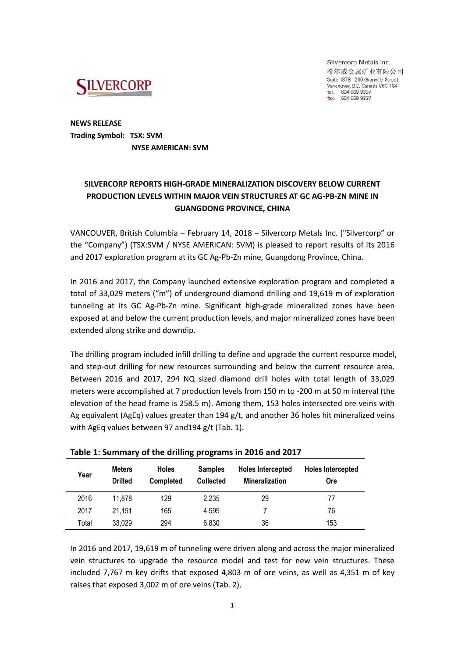

Silvercorp Metals Inc. 希尔威金属矿业有限公司 Suite 1378 - 200 Granville Street Vancouver, BC, Canada V6C 1S4 tel. 604 669 9397 fax. 604 669 9387

**NEWS RELEASE Trading Symbol: TSX: SVM NYSE AMERICAN: SVM**

# **SILVERCORP REPORTS HIGH-GRADE MINERALIZATION DISCOVERY BELOW CURRENT PRODUCTION LEVELS WITHIN MAJOR VEIN STRUCTURES AT GC AG-PB-ZN MINE IN GUANGDONG PROVINCE, CHINA**

VANCOUVER, British Columbia – February 14, 2018 – Silvercorp Metals Inc. ("Silvercorp" or the "Company") (TSX:SVM / NYSE AMERICAN: SVM) is pleased to report results of its 2016 and 2017 exploration program at its GC Ag-Pb-Zn mine, Guangdong Province, China.

In 2016 and 2017, the Company launched extensive exploration program and completed a total of 33,029 meters ("m") of underground diamond drilling and 19,619 m of exploration tunneling at its GC Ag-Pb-Zn mine. Significant high-grade mineralized zones have been exposed at and below the current production levels, and major mineralized zones have been extended along strike and downdip.

The drilling program included infill drilling to define and upgrade the current resource model, and step-out drilling for new resources surrounding and below the current resource area. Between 2016 and 2017, 294 NQ sized diamond drill holes with total length of 33,029 meters were accomplished at 7 production levels from 150 m to -200 m at 50 m interval (the elevation of the head frame is 258.5 m). Among them, 153 holes intersected ore veins with Ag equivalent (AgEq) values greater than 194 g/t, and another 36 holes hit mineralized veins with AgEq values between 97 and194 g/t (Tab. 1).

| Year  | <b>Meters</b><br><b>Drilled</b> | <b>Holes</b><br><b>Completed</b> | <b>Samples</b><br><b>Collected</b> | <b>Holes Intercepted</b><br><b>Mineralization</b> | <b>Holes Intercepted</b><br>Ore |
|-------|---------------------------------|----------------------------------|------------------------------------|---------------------------------------------------|---------------------------------|
| 2016  | 11,878                          | 129                              | 2,235                              | 29                                                | 77                              |
| 2017  | 21,151                          | 165                              | 4,595                              |                                                   | 76                              |
| Total | 33,029                          | 294                              | 6,830                              | 36                                                | 153                             |

| Table 1: Summary of the drilling programs in 2016 and 2017 |  |  |  |  |  |  |  |
|------------------------------------------------------------|--|--|--|--|--|--|--|
|------------------------------------------------------------|--|--|--|--|--|--|--|

In 2016 and 2017, 19,619 m of tunneling were driven along and across the major mineralized vein structures to upgrade the resource model and test for new vein structures. These included 7,767 m key drifts that exposed 4,803 m of ore veins, as well as 4,351 m of key raises that exposed 3,002 m of ore veins (Tab. 2).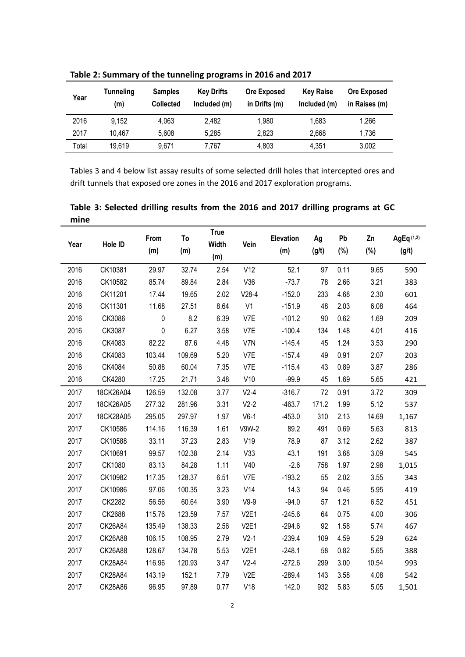| Year  | Tunneling<br>(m) | <b>Samples</b><br><b>Collected</b> | <b>Key Drifts</b><br>Included (m) | <b>Ore Exposed</b><br>in Drifts (m) | <b>Key Raise</b><br>Included (m) | Ore Exposed<br>in Raises (m) |  |  |  |  |
|-------|------------------|------------------------------------|-----------------------------------|-------------------------------------|----------------------------------|------------------------------|--|--|--|--|
| 2016  | 9,152            | 4,063                              | 2.482                             | 1,980                               | 1,683                            | 1,266                        |  |  |  |  |
| 2017  | 10,467           | 5.608                              | 5,285                             | 2,823                               | 2,668                            | 1,736                        |  |  |  |  |
| Total | 19,619           | 9.671                              | 7,767                             | 4,803                               | 4.351                            | 3,002                        |  |  |  |  |

**Table 2: Summary of the tunneling programs in 2016 and 2017**

Tables 3 and 4 below list assay results of some selected drill holes that intercepted ores and drift tunnels that exposed ore zones in the 2016 and 2017 exploration programs.

| Year | Hole ID   | From<br>(m) | To<br>(m) | <b>True</b><br>Width<br>(m) | Vein             | <b>Elevation</b><br>(m) | Ag<br>(g/t) | Pb<br>$(\%)$ | Zn<br>(%) | AgEq $(1,2)$<br>(g/t) |
|------|-----------|-------------|-----------|-----------------------------|------------------|-------------------------|-------------|--------------|-----------|-----------------------|
| 2016 | CK10381   | 29.97       | 32.74     | 2.54                        | V12              | 52.1                    | 97          | 0.11         | 9.65      | 590                   |
| 2016 | CK10582   | 85.74       | 89.84     | 2.84                        | V36              | $-73.7$                 | 78          | 2.66         | 3.21      | 383                   |
| 2016 | CK11201   | 17.44       | 19.65     | 2.02                        | $V28-4$          | $-152.0$                | 233         | 4.68         | 2.30      | 601                   |
| 2016 | CK11301   | 11.68       | 27.51     | 8.64                        | V <sub>1</sub>   | $-151.9$                | 48          | 2.03         | 6.08      | 464                   |
| 2016 | CK3086    | $\pmb{0}$   | 8.2       | 6.39                        | V7E              | $-101.2$                | 90          | 0.62         | 1.69      | 209                   |
| 2016 | CK3087    | $\pmb{0}$   | 6.27      | 3.58                        | V7E              | $-100.4$                | 134         | 1.48         | 4.01      | 416                   |
| 2016 | CK4083    | 82.22       | 87.6      | 4.48                        | V7N              | $-145.4$                | 45          | 1.24         | 3.53      | 290                   |
| 2016 | CK4083    | 103.44      | 109.69    | 5.20                        | V7E              | $-157.4$                | 49          | 0.91         | 2.07      | 203                   |
| 2016 | CK4084    | 50.88       | 60.04     | 7.35                        | V7E              | $-115.4$                | 43          | 0.89         | 3.87      | 286                   |
| 2016 | CK4280    | 17.25       | 21.71     | 3.48                        | V10              | $-99.9$                 | 45          | 1.69         | 5.65      | 421                   |
| 2017 | 18CK26A04 | 126.59      | 132.08    | 3.77                        | $V2-4$           | $-316.7$                | 72          | 0.91         | 3.72      | 309                   |
| 2017 | 18CK26A05 | 277.32      | 281.96    | 3.31                        | $V2-2$           | $-463.7$                | 171.2       | 1.99         | 5.12      | 537                   |
| 2017 | 18CK28A05 | 295.05      | 297.97    | 1.97                        | $V6-1$           | $-453.0$                | 310         | 2.13         | 14.69     | 1,167                 |
| 2017 | CK10586   | 114.16      | 116.39    | 1.61                        | <b>V9W-2</b>     | 89.2                    | 491         | 0.69         | 5.63      | 813                   |
| 2017 | CK10588   | 33.11       | 37.23     | 2.83                        | V19              | 78.9                    | 87          | 3.12         | 2.62      | 387                   |
| 2017 | CK10691   | 99.57       | 102.38    | 2.14                        | V33              | 43.1                    | 191         | 3.68         | 3.09      | 545                   |
| 2017 | CK1080    | 83.13       | 84.28     | 1.11                        | V40              | $-2.6$                  | 758         | 1.97         | 2.98      | 1,015                 |
| 2017 | CK10982   | 117.35      | 128.37    | 6.51                        | V7E              | $-193.2$                | 55          | 2.02         | 3.55      | 343                   |
| 2017 | CK10986   | 97.06       | 100.35    | 3.23                        | V14              | 14.3                    | 94          | 0.46         | 5.95      | 419                   |
| 2017 | CK2282    | 56.56       | 60.64     | 3.90                        | $V9-9$           | $-94.0$                 | 57          | 1.21         | 6.52      | 451                   |
| 2017 | CK2688    | 115.76      | 123.59    | 7.57                        | V2E1             | $-245.6$                | 64          | 0.75         | 4.00      | 306                   |
| 2017 | CK26A84   | 135.49      | 138.33    | 2.56                        | V2E1             | $-294.6$                | 92          | 1.58         | 5.74      | 467                   |
| 2017 | CK26A88   | 106.15      | 108.95    | 2.79                        | $V2-1$           | $-239.4$                | 109         | 4.59         | 5.29      | 624                   |
| 2017 | CK26A88   | 128.67      | 134.78    | 5.53                        | V2E1             | $-248.1$                | 58          | 0.82         | 5.65      | 388                   |
| 2017 | CK28A84   | 116.96      | 120.93    | 3.47                        | $V2-4$           | $-272.6$                | 299         | 3.00         | 10.54     | 993                   |
| 2017 | CK28A84   | 143.19      | 152.1     | 7.79                        | V <sub>2</sub> E | $-289.4$                | 143         | 3.58         | 4.08      | 542                   |
| 2017 | CK28A86   | 96.95       | 97.89     | 0.77                        | V18              | 142.0                   | 932         | 5.83         | 5.05      | 1,501                 |

**Table 3: Selected drilling results from the 2016 and 2017 drilling programs at GC mine**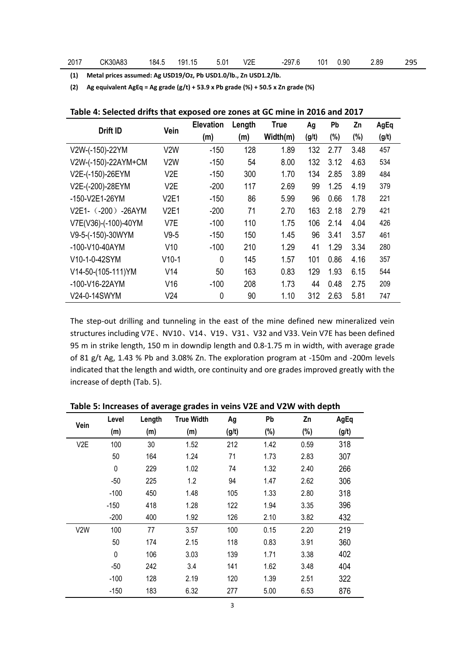**(1) Metal prices assumed: Ag USD19/Oz, Pb USD1.0/lb., Zn USD1.2/lb.**

**(2) Ag equivalent AgEq = Ag grade (g/t) + 53.9 x Pb grade (%) + 50.5 x Zn grade (%)**

| Drift ID             | Vein             | <b>Elevation</b> | Length | <b>True</b> | Ag    | Pb     | Zn   | AgEq  |
|----------------------|------------------|------------------|--------|-------------|-------|--------|------|-------|
|                      |                  | (m)              | (m)    | Width(m)    | (g/t) | $(\%)$ | (%)  | (g/t) |
| V2W-(-150)-22YM      | V <sub>2</sub> W | $-150$           | 128    | 1.89        | 132   | 2.77   | 3.48 | 457   |
| V2W-(-150)-22AYM+CM  | V2W              | $-150$           | 54     | 8.00        | 132   | 3.12   | 4.63 | 534   |
| V2E-(-150)-26EYM     | V <sub>2</sub> E | $-150$           | 300    | 1.70        | 134   | 2.85   | 3.89 | 484   |
| V2E-(-200)-28EYM     | V <sub>2</sub> E | $-200$           | 117    | 2.69        | 99    | 1.25   | 4.19 | 379   |
| -150-V2E1-26YM       | V2E1             | $-150$           | 86     | 5.99        | 96    | 0.66   | 1.78 | 221   |
| V2E1- (-200) -26AYM  | V2E1             | $-200$           | 71     | 2.70        | 163   | 2.18   | 2.79 | 421   |
| V7E(V36)-(-100)-40YM | V7E              | $-100$           | 110    | 1.75        | 106   | 2.14   | 4.04 | 426   |
| V9-5-(-150)-30WYM    | $V9-5$           | $-150$           | 150    | 1.45        | 96    | 3.41   | 3.57 | 461   |
| $-100-V10-40AYM$     | V10              | $-100$           | 210    | 1.29        | 41    | 1.29   | 3.34 | 280   |
| V10-1-0-42SYM        | $V10-1$          | 0                | 145    | 1.57        | 101   | 0.86   | 4.16 | 357   |
| V14-50-(105-111)YM   | V14              | 50               | 163    | 0.83        | 129   | 1.93   | 6.15 | 544   |
| -100-V16-22AYM       | V16              | $-100$           | 208    | 1.73        | 44    | 0.48   | 2.75 | 209   |
| V24-0-14SWYM         | V24              | $\mathbf 0$      | 90     | 1.10        | 312   | 2.63   | 5.81 | 747   |

## **Table 4: Selected drifts that exposed ore zones at GC mine in 2016 and 2017**

The step-out drilling and tunneling in the east of the mine defined new mineralized vein structures including V7E、NV10、V14、V19、V31、V32 and V33. Vein V7E has been defined 95 m in strike length, 150 m in downdip length and 0.8-1.75 m in width, with average grade of 81 g/t Ag, 1.43 % Pb and 3.08% Zn. The exploration program at -150m and -200m levels indicated that the length and width, ore continuity and ore grades improved greatly with the increase of depth (Tab. 5).

| Vein             | Level  | Length | <b>True Width</b> | Ag    | Pb     | Zn     | AgEq  |
|------------------|--------|--------|-------------------|-------|--------|--------|-------|
|                  | (m)    | (m)    | (m)               | (g/t) | $(\%)$ | $(\%)$ | (g/t) |
| V <sub>2</sub> E | 100    | 30     | 1.52              | 212   | 1.42   | 0.59   | 318   |
|                  | 50     | 164    | 1.24              | 71    | 1.73   | 2.83   | 307   |
|                  | 0      | 229    | 1.02              | 74    | 1.32   | 2.40   | 266   |
|                  | $-50$  | 225    | 1.2               | 94    | 1.47   | 2.62   | 306   |
|                  | $-100$ | 450    | 1.48              | 105   | 1.33   | 2.80   | 318   |
|                  | $-150$ | 418    | 1.28              | 122   | 1.94   | 3.35   | 396   |
|                  | $-200$ | 400    | 1.92              | 126   | 2.10   | 3.82   | 432   |
| V <sub>2</sub> W | 100    | 77     | 3.57              | 100   | 0.15   | 2.20   | 219   |
|                  | 50     | 174    | 2.15              | 118   | 0.83   | 3.91   | 360   |
|                  | 0      | 106    | 3.03              | 139   | 1.71   | 3.38   | 402   |
|                  | $-50$  | 242    | 3.4               | 141   | 1.62   | 3.48   | 404   |
|                  | $-100$ | 128    | 2.19              | 120   | 1.39   | 2.51   | 322   |
|                  | $-150$ | 183    | 6.32              | 277   | 5.00   | 6.53   | 876   |

**Table 5: Increases of average grades in veins V2E and V2W with depth**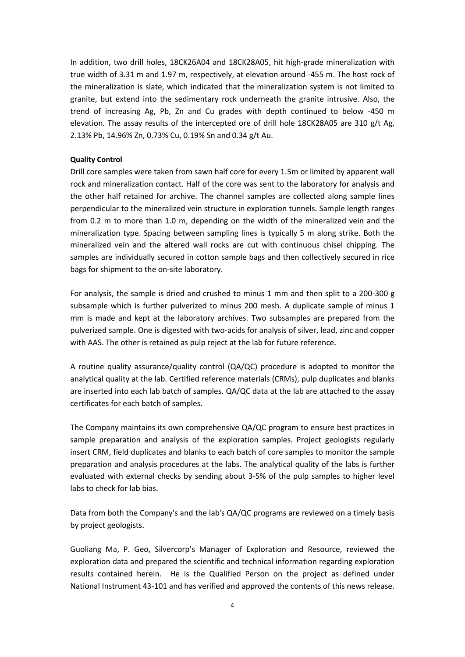In addition, two drill holes, 18CK26A04 and 18CK28A05, hit high-grade mineralization with true width of 3.31 m and 1.97 m, respectively, at elevation around -455 m. The host rock of the mineralization is slate, which indicated that the mineralization system is not limited to granite, but extend into the sedimentary rock underneath the granite intrusive. Also, the trend of increasing Ag, Pb, Zn and Cu grades with depth continued to below -450 m elevation. The assay results of the intercepted ore of drill hole 18CK28A05 are 310 g/t Ag, 2.13% Pb, 14.96% Zn, 0.73% Cu, 0.19% Sn and 0.34 g/t Au.

## **Quality Control**

Drill core samples were taken from sawn half core for every 1.5m or limited by apparent wall rock and mineralization contact. Half of the core was sent to the laboratory for analysis and the other half retained for archive. The channel samples are collected along sample lines perpendicular to the mineralized vein structure in exploration tunnels. Sample length ranges from 0.2 m to more than 1.0 m, depending on the width of the mineralized vein and the mineralization type. Spacing between sampling lines is typically 5 m along strike. Both the mineralized vein and the altered wall rocks are cut with continuous chisel chipping. The samples are individually secured in cotton sample bags and then collectively secured in rice bags for shipment to the on-site laboratory.

For analysis, the sample is dried and crushed to minus 1 mm and then split to a 200-300 g subsample which is further pulverized to minus 200 mesh. A duplicate sample of minus 1 mm is made and kept at the laboratory archives. Two subsamples are prepared from the pulverized sample. One is digested with two-acids for analysis of silver, lead, zinc and copper with AAS. The other is retained as pulp reject at the lab for future reference.

A routine quality assurance/quality control (QA/QC) procedure is adopted to monitor the analytical quality at the lab. Certified reference materials (CRMs), pulp duplicates and blanks are inserted into each lab batch of samples. QA/QC data at the lab are attached to the assay certificates for each batch of samples.

The Company maintains its own comprehensive QA/QC program to ensure best practices in sample preparation and analysis of the exploration samples. Project geologists regularly insert CRM, field duplicates and blanks to each batch of core samples to monitor the sample preparation and analysis procedures at the labs. The analytical quality of the labs is further evaluated with external checks by sending about 3-5% of the pulp samples to higher level labs to check for lab bias.

Data from both the Company's and the lab's QA/QC programs are reviewed on a timely basis by project geologists.

Guoliang Ma, P. Geo, Silvercorp's Manager of Exploration and Resource, reviewed the exploration data and prepared the scientific and technical information regarding exploration results contained herein. He is the Qualified Person on the project as defined under National Instrument 43-101 and has verified and approved the contents of this news release.